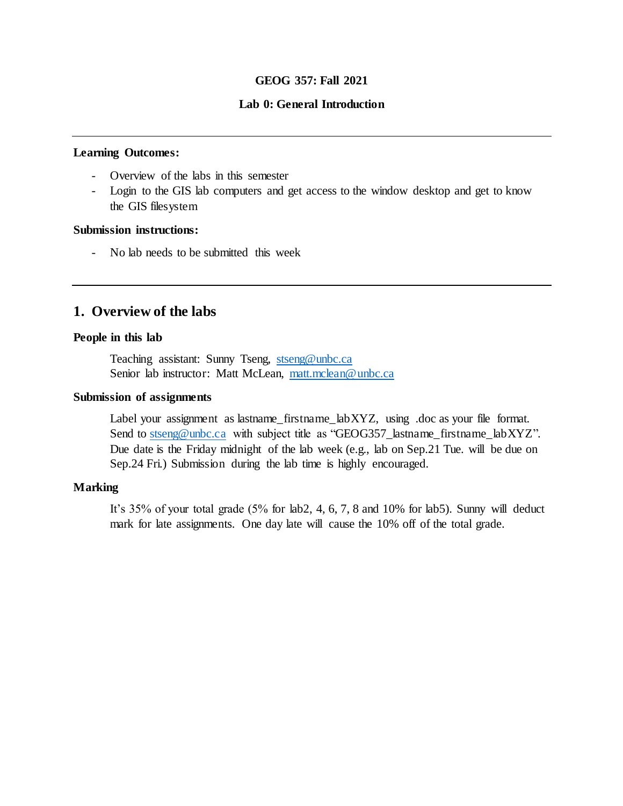## **GEOG 357: Fall 2021**

### **Lab 0: General Introduction**

## **Learning Outcomes:**

- Overview of the labs in this semester
- Login to the GIS lab computers and get access to the window desktop and get to know the GIS filesystem

### **Submission instructions:**

- No lab needs to be submitted this week

# **1. Overview of the labs**

### **People in this lab**

Teaching assistant: Sunny Tseng, [stseng@unbc.ca](mailto:stseng@unbc.ca) Senior lab instructor: Matt McLean, [matt.mclean@unbc.ca](mailto:matt.mclean@unbc.ca)

### **Submission of assignments**

Label your assignment as lastname\_firstname\_labXYZ, using .doc as your file format. Send to [stseng@unbc.ca](mailto:stseng@unbc.ca) with subject title as "GEOG357\_lastname\_firstname\_labXYZ". Due date is the Friday midnight of the lab week (e.g., lab on Sep.21 Tue. will be due on Sep.24 Fri.) Submission during the lab time is highly encouraged.

### **Marking**

It's 35% of your total grade (5% for lab2, 4, 6, 7, 8 and 10% for lab5). Sunny will deduct mark for late assignments. One day late will cause the 10% off of the total grade.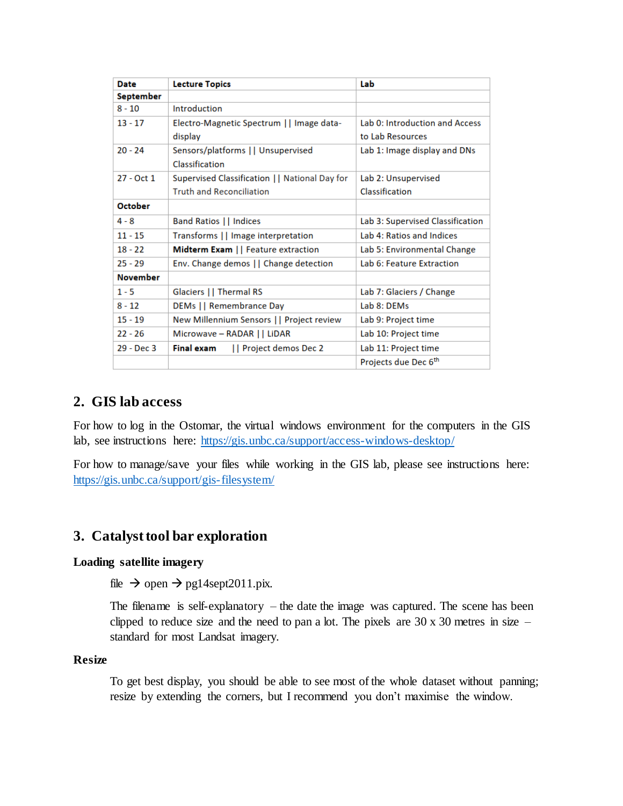| <b>Date</b>     | <b>Lecture Topics</b>                          | Lab                              |
|-----------------|------------------------------------------------|----------------------------------|
| September       |                                                |                                  |
| $8 - 10$        | Introduction                                   |                                  |
| $13 - 17$       | Electro-Magnetic Spectrum     Image data-      | Lab 0: Introduction and Access   |
|                 | display                                        | to Lab Resources                 |
| $20 - 24$       | Sensors/platforms     Unsupervised             | Lab 1: Image display and DNs     |
|                 | Classification                                 |                                  |
| 27 - Oct 1      | Supervised Classification     National Day for | Lab 2: Unsupervised              |
|                 | <b>Truth and Reconciliation</b>                | Classification                   |
| <b>October</b>  |                                                |                                  |
| $4 - 8$         | <b>Band Ratios     Indices</b>                 | Lab 3: Supervised Classification |
| $11 - 15$       | Transforms     Image interpretation            | Lab 4: Ratios and Indices        |
| $18 - 22$       | Midterm Exam     Feature extraction            | Lab 5: Environmental Change      |
| $25 - 29$       | Env. Change demos     Change detection         | Lab 6: Feature Extraction        |
| <b>November</b> |                                                |                                  |
| $1 - 5$         | Glaciers    Thermal RS                         | Lab 7: Glaciers / Change         |
| $8 - 12$        | DEMs   Remembrance Day                         | Lab 8: DEMs                      |
| $15 - 19$       | New Millennium Sensors     Project review      | Lab 9: Project time              |
| $22 - 26$       | Microwave - RADAR     LiDAR                    | Lab 10: Project time             |
| 29 - Dec 3      | <b>Final exam</b><br>   Project demos Dec 2    | Lab 11: Project time             |
|                 |                                                | Projects due Dec 6 <sup>th</sup> |

## **2. GIS lab access**

For how to log in the Ostomar, the virtual windows environment for the computers in the GIS lab, see instructions here: <https://gis.unbc.ca/support/access-windows-desktop/>

For how to manage/save your files while working in the GIS lab, please see instructions here: <https://gis.unbc.ca/support/gis-filesystem/>

## **3. Catalyst tool bar exploration**

## **Loading satellite imagery**

file  $\rightarrow$  open  $\rightarrow$  pg14sept2011.pix.

The filename is self-explanatory  $-$  the date the image was captured. The scene has been clipped to reduce size and the need to pan a lot. The pixels are  $30 \times 30$  metres in size – standard for most Landsat imagery.

### **Resize**

To get best display, you should be able to see most of the whole dataset without panning; resize by extending the corners, but I recommend you don't maximise the window.